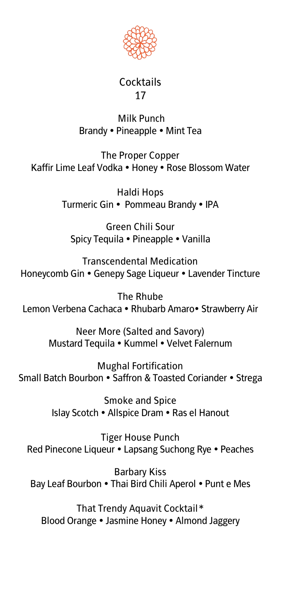

#### **Cocktails 17**

#### **Milk Punch Brandy Pineapple Mint Tea**

**The Proper Copper Kaffir Lime Leaf Vodka Honey Rose Blossom Water**

> **Haldi Hops Turmeric Gin Pommeau Brandy IPA**

**Green Chili Sour Spicy Tequila Pineapple Vanilla**

**Transcendental Medication Honeycomb Gin Genepy Sage Liqueur Lavender Tincture**

**The Rhube Lemon Verbena Cachaca Rhubarb Amaro Strawberry Air**

> **Neer More (Salted and Savory) Mustard Tequila Kummel Velvet Falernum**

**Mughal Fortification Small Batch Bourbon Saffron & Toasted Coriander Strega**

> **Smoke and Spice Islay Scotch Allspice Dram Ras el Hanout**

**Tiger House Punch Red Pinecone Liqueur Lapsang Suchong Rye Peaches**

**Barbary Kiss Bay Leaf Bourbon Thai Bird Chili Aperol Punt e Mes**

**That Trendy Aquavit Cocktail\* Blood Orange Jasmine Honey Almond Jaggery**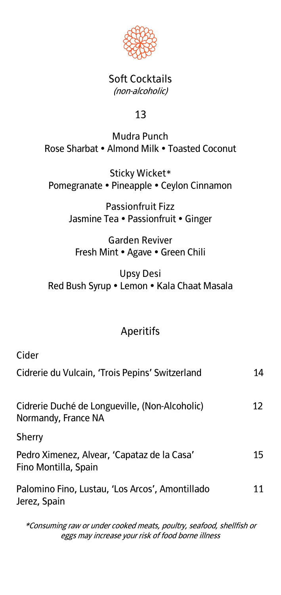

#### **Soft Cocktails (non-alcoholic)**

#### **13**

#### **Mudra Punch Rose Sharbat Almond Milk Toasted Coconut**

**Sticky Wicket\* Pomegranate Pineapple Ceylon Cinnamon** 

> **Passionfruit Fizz Jasmine Tea Passionfruit Ginger**

**Garden Reviver Fresh Mint Agave Green Chili** 

**Upsy Desi Red Bush Syrup Lemon Kala Chaat Masala** 

### **Aperitifs**

**Cider** 

| Cidrerie du Vulcain, 'Trois Pepins' Switzerland                       | 14 |
|-----------------------------------------------------------------------|----|
| Cidrerie Duché de Longueville, (Non-Alcoholic)<br>Normandy, France NA | 12 |
| Sherry                                                                |    |
| Pedro Ximenez, Alvear, 'Capataz de la Casa'<br>Fino Montilla, Spain   | 15 |
| Palomino Fino, Lustau, 'Los Arcos', Amontillado<br>Jerez, Spain       | 11 |
|                                                                       |    |

**\*Consuming raw or under cooked meats, poultry, seafood, shellfish or eggs may increase your risk of food borne illness**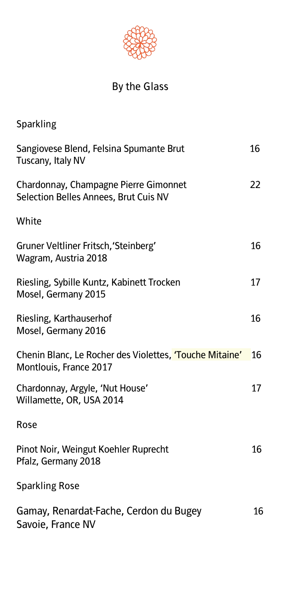

# **By the Glass**

| <b>Sparkling</b>                                                                  |    |
|-----------------------------------------------------------------------------------|----|
| Sangiovese Blend, Felsina Spumante Brut<br>Tuscany, Italy NV                      | 16 |
| Chardonnay, Champagne Pierre Gimonnet<br>Selection Belles Annees, Brut Cuis NV    | 22 |
| White                                                                             |    |
| Gruner Veltliner Fritsch, 'Steinberg'<br>Wagram, Austria 2018                     | 16 |
| Riesling, Sybille Kuntz, Kabinett Trocken<br>Mosel, Germany 2015                  | 17 |
| Riesling, Karthauserhof<br>Mosel, Germany 2016                                    | 16 |
| Chenin Blanc, Le Rocher des Violettes, 'Touche Mitaine'<br>Montlouis, France 2017 | 16 |
| Chardonnay, Argyle, 'Nut House'<br>Willamette, OR, USA 2014                       | 17 |
| Rose                                                                              |    |
| Pinot Noir, Weingut Koehler Ruprecht<br>Pfalz, Germany 2018                       | 16 |
| <b>Sparkling Rose</b>                                                             |    |
| Gamay, Renardat-Fache, Cerdon du Bugey<br>Savoie, France NV                       | 16 |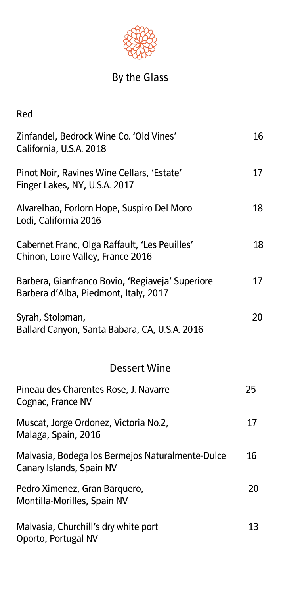

# **By the Glass**

| Red                                                                                       |    |
|-------------------------------------------------------------------------------------------|----|
| Zinfandel, Bedrock Wine Co. 'Old Vines'<br>California, U.S.A. 2018                        | 16 |
| Pinot Noir, Ravines Wine Cellars, 'Estate'<br>Finger Lakes, NY, U.S.A. 2017               | 17 |
| Alvarelhao, Forlorn Hope, Suspiro Del Moro<br>Lodi, California 2016                       | 18 |
| Cabernet Franc, Olga Raffault, 'Les Peuilles'<br>Chinon, Loire Valley, France 2016        | 18 |
| Barbera, Gianfranco Bovio, 'Regiaveja' Superiore<br>Barbera d'Alba, Piedmont, Italy, 2017 | 17 |
| Syrah, Stolpman,<br>Ballard Canyon, Santa Babara, CA, U.S.A. 2016                         | 20 |
| <b>Dessert Wine</b>                                                                       |    |
| Pineau des Charentes Rose, J. Navarre<br>Cognac, France NV                                | 25 |
| Muscat, Jorge Ordonez, Victoria No.2,<br>Malaga, Spain, 2016                              | 17 |
| Malvasia, Bodega los Bermejos Naturalmente-Dulce<br>Canary Islands, Spain NV              | 16 |
| Pedro Ximenez, Gran Barquero,<br>Montilla-Morilles, Spain NV                              | 20 |
| Malvasia, Churchill's dry white port<br>Oporto, Portugal NV                               | 13 |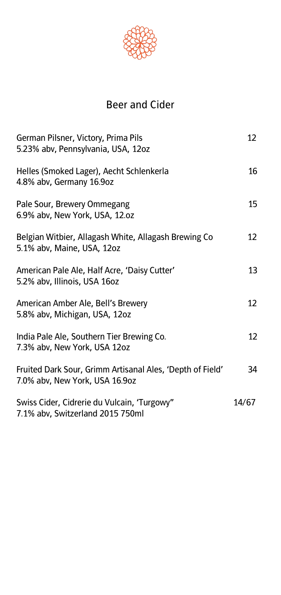

## **Beer and Cider**

| German Pilsner, Victory, Prima Pils<br>5.23% abv, Pennsylvania, USA, 12oz                   | 12 <sup>°</sup> |
|---------------------------------------------------------------------------------------------|-----------------|
| Helles (Smoked Lager), Aecht Schlenkerla<br>4.8% abv, Germany 16.9oz                        | 16              |
| Pale Sour, Brewery Ommegang<br>6.9% abv, New York, USA, 12.oz                               | 15              |
| Belgian Witbier, Allagash White, Allagash Brewing Co<br>5.1% abv, Maine, USA, 12oz          | 12              |
| American Pale Ale, Half Acre, 'Daisy Cutter'<br>5.2% abv, Illinois, USA 16oz                | 13              |
| American Amber Ale, Bell's Brewery<br>5.8% abv, Michigan, USA, 12oz                         | 12 <sup>°</sup> |
| India Pale Ale, Southern Tier Brewing Co.<br>7.3% abv, New York, USA 12oz                   | 12              |
| Fruited Dark Sour, Grimm Artisanal Ales, 'Depth of Field'<br>7.0% abv, New York, USA 16.9oz | 34              |
| Swiss Cider, Cidrerie du Vulcain, 'Turgowy"<br>7.1% abv, Switzerland 2015 750ml             | 14/67           |